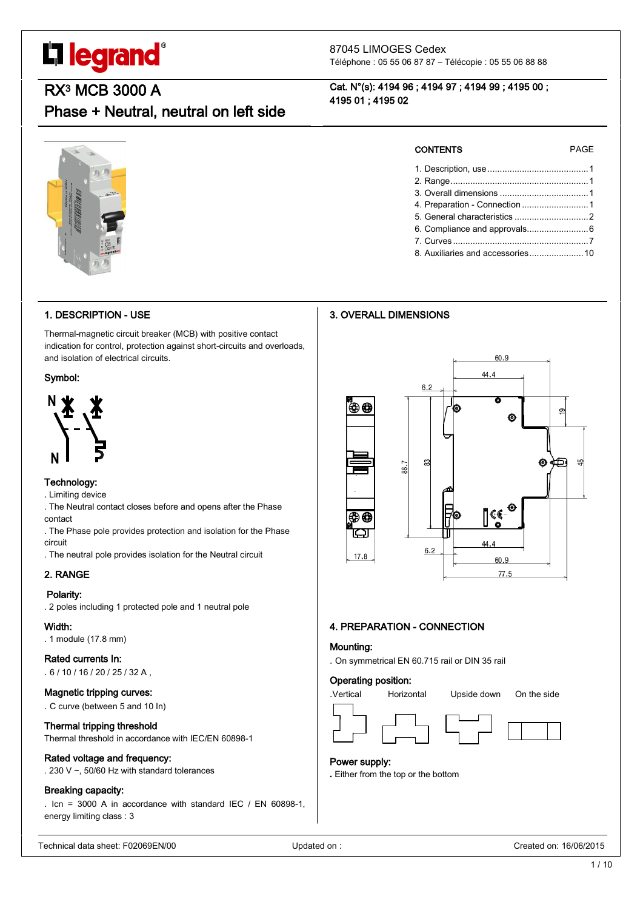# L'I legrand®

87045 LIMOGES Cedex Téléphone : 05 55 06 87 87 – Télécopie : 05 55 06 88 88

Cat. N°(s): 4194 96 ; 4194 97 ; 4194 99 ; 4195 00 ;

### RX3 MCB 3000 A

### Phase + Neutral, neutral on left side

### 1. DESCRIPTION - USE

Thermal-magnetic circuit breaker (MCB) with positive contact indication for control, protection against short-circuits and overloads, and isolation of electrical circuits.

#### Symbol:



#### Technology:

. Limiting device

- . The Neutral contact closes before and opens after the Phase contact
- . The Phase pole provides protection and isolation for the Phase circuit
- . The neutral pole provides isolation for the Neutral circuit

#### 2. RANGE

#### Polarity:

. 2 poles including 1 protected pole and 1 neutral pole

#### Width:

. 1 module (17.8 mm)

#### Rated currents In:

. 6 / 10 / 16 / 20 / 25 / 32 A ,

#### Magnetic tripping curves:

. C curve (between 5 and 10 In)

#### Thermal tripping threshold

Thermal threshold in accordance with IEC/EN 60898-1

#### Rated voltage and frequency:

. 230 V ~, 50/60 Hz with standard tolerances

#### Breaking capacity:

. Icn = 3000 A in accordance with standard IEC / EN 60898-1, energy limiting class : 3

| <b>CONTENTS</b> | <b>PAGE</b> |
|-----------------|-------------|
|                 |             |
| Panne           |             |

2. Range........................................................1 3. Overall dimensions ....................................1 4. Preparation - Connection ...........................1 5. General characteristics ..............................2 6. Compliance and approvals.........................6 7. Curves .......................................................7 8. Auxiliaries and accessories......................10

#### 3. OVERALL DIMENSIONS

4195 01 ; 4195 02



#### 4. PREPARATION - CONNECTION

#### Mounting:

. On symmetrical EN 60.715 rail or DIN 35 rail

#### Operating position:



#### Power supply:

**.** Either from the top or the bottom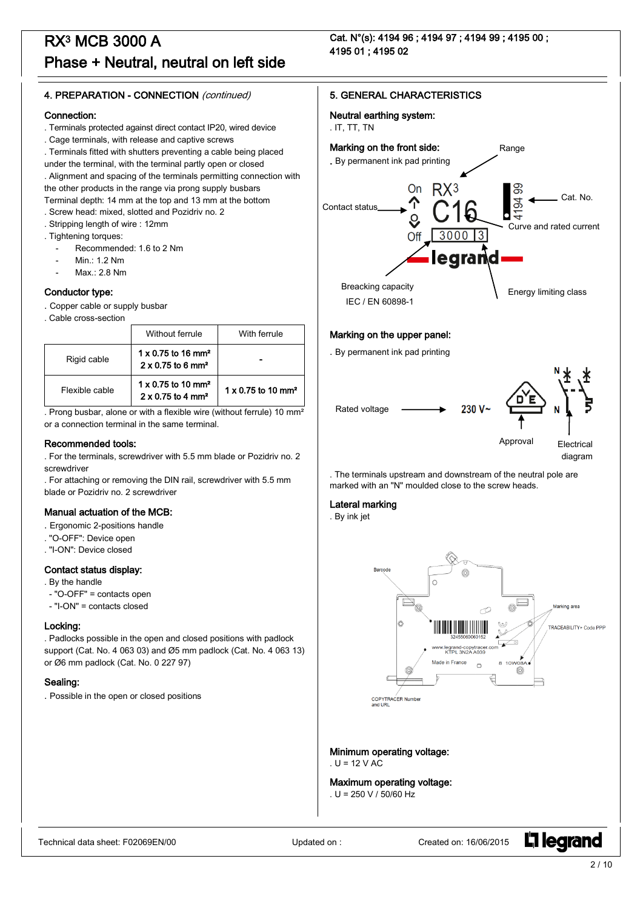Cat. N°(s): 4194 96 ; 4194 97 ; 4194 99 ; 4195 00 ; 4195 01 ; 4195 02

#### 4. PREPARATION - CONNECTION (continued)

#### Connection:

- . Terminals protected against direct contact IP20, wired device
- . Cage terminals, with release and captive screws

. Terminals fitted with shutters preventing a cable being placed

under the terminal, with the terminal partly open or closed . Alignment and spacing of the terminals permitting connection with

the other products in the range via prong supply busbars

- Terminal depth: 14 mm at the top and 13 mm at the bottom . Screw head: mixed, slotted and Pozidriv no. 2
- . Stripping length of wire : 12mm
- . Tightening torques:
	- Recommended: 1.6 to 2 Nm
	- Min.: 1.2 Nm
	- $Max: 2.8 Nm$

#### Conductor type:

- . Copper cable or supply busbar
- . Cable cross-section

|                | Without ferrule                                                               | With ferrule                          |
|----------------|-------------------------------------------------------------------------------|---------------------------------------|
| Rigid cable    | $1 \times 0.75$ to 16 mm <sup>2</sup><br>$2 \times 0.75$ to 6 mm <sup>2</sup> |                                       |
| Flexible cable | $1 \times 0.75$ to 10 mm <sup>2</sup><br>$2 \times 0.75$ to 4 mm <sup>2</sup> | $1 \times 0.75$ to 10 mm <sup>2</sup> |

. Prong busbar, alone or with a flexible wire (without ferrule) 10 mm² or a connection terminal in the same terminal.

#### Recommended tools:

- . For the terminals, screwdriver with 5.5 mm blade or Pozidriv no. 2 screwdriver
- . For attaching or removing the DIN rail, screwdriver with 5.5 mm blade or Pozidriv no. 2 screwdriver

#### Manual actuation of the MCB:

- . Ergonomic 2-positions handle
- . "O-OFF": Device open
- . "I-ON": Device closed

#### Contact status display:

- . By the handle
- "O-OFF" = contacts open
- "I-ON" = contacts closed

#### Locking:

. Padlocks possible in the open and closed positions with padlock support (Cat. No. 4 063 03) and Ø5 mm padlock (Cat. No. 4 063 13) or Ø6 mm padlock (Cat. No. 0 227 97)

#### Sealing:

. Possible in the open or closed positions

#### 5. GENERAL CHARACTERISTICS

Neutral earthing system:

### . IT, TT, TN



#### Marking on the upper panel:

. By permanent ink pad printing



. The terminals upstream and downstream of the neutral pole are marked with an "N" moulded close to the screw heads.

#### Lateral marking

. By ink jet



Minimum operating voltage:  $U = 12$  V AC

### Maximum operating voltage:

. U = 250 V / 50/60 Hz

**L1 legrand**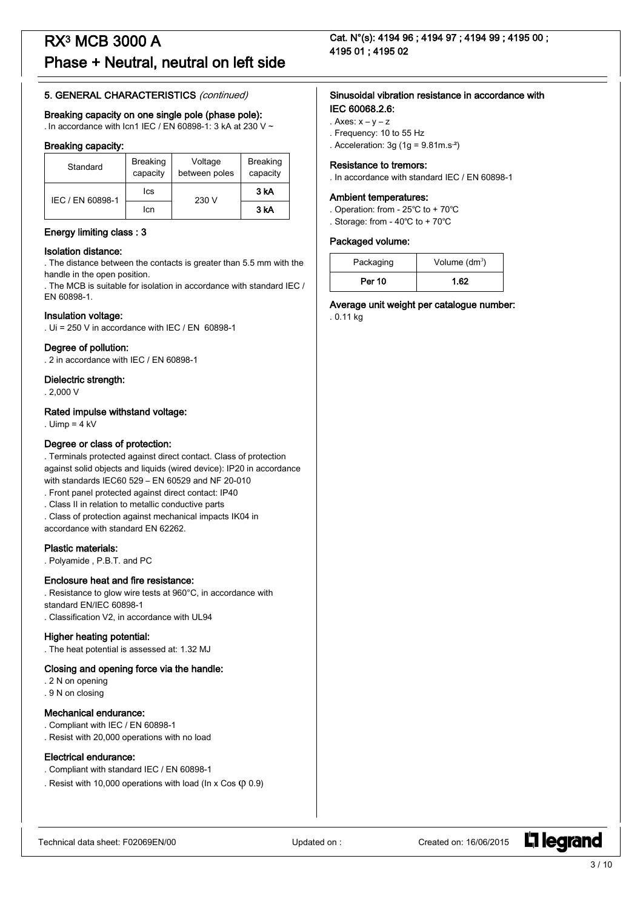#### 5. GENERAL CHARACTERISTICS (continued)

#### Breaking capacity on one single pole (phase pole):

. In accordance with Icn1 IEC / EN 60898-1: 3 kA at 230 V ~

#### Breaking capacity:

| Standard         | <b>Breaking</b><br>capacity | Voltage<br>between poles | <b>Breaking</b><br>capacity |  |
|------------------|-----------------------------|--------------------------|-----------------------------|--|
| IEC / EN 60898-1 | lcs                         | 230 V                    | 3 kA                        |  |
|                  | lcn                         |                          | 3 kA                        |  |

#### Energy limiting class : 3

#### Isolation distance:

. The distance between the contacts is greater than 5.5 mm with the handle in the open position.

. The MCB is suitable for isolation in accordance with standard IEC / EN 60898-1.

#### Insulation voltage:

. Ui = 250 V in accordance with IEC / EN 60898-1

#### Degree of pollution:

. 2 in accordance with IEC / EN 60898-1

#### Dielectric strength:

. 2,000 V

#### Rated impulse withstand voltage:

. Uimp =  $4$  kV

#### Degree or class of protection:

. Terminals protected against direct contact. Class of protection against solid objects and liquids (wired device): IP20 in accordance with standards IEC60 529 – EN 60529 and NF 20-010

- . Front panel protected against direct contact: IP40
- . Class II in relation to metallic conductive parts
- . Class of protection against mechanical impacts IK04 in

accordance with standard EN 62262.

#### Plastic materials:

. Polyamide , P.B.T. and PC

#### Enclosure heat and fire resistance:

. Resistance to glow wire tests at 960°C, in accordance with standard EN/IEC 60898-1

. Classification V2, in accordance with UL94

#### Higher heating potential:

. The heat potential is assessed at: 1.32 MJ

#### Closing and opening force via the handle:

- . 2 N on opening
- . 9 N on closing

#### Mechanical endurance:

. Compliant with IEC / EN 60898-1 . Resist with 20,000 operations with no load

#### Electrical endurance:

- . Compliant with standard IEC / EN 60898-1
- . Resist with 10,000 operations with load (In x Cos  $($ 0.9)

Cat. N°(s): 4194 96 ; 4194 97 ; 4194 99 ; 4195 00 ; 4195 01 ; 4195 02

#### Sinusoidal vibration resistance in accordance with IEC 60068.2.6:

- . Axes:  $x y z$
- . Frequency: 10 to 55 Hz
- . Acceleration:  $3g(1g = 9.81m.s<sup>2</sup>)$

#### Resistance to tremors:

. In accordance with standard IEC / EN 60898-1

#### Ambient temperatures:

- . Operation: from 25℃ to + 70℃
- . Storage: from 40℃ to + 70℃

#### Packaged volume:

| Packaging     | Volume $(dm^3)$ |  |  |
|---------------|-----------------|--|--|
| <b>Per 10</b> | 1.62            |  |  |

Average unit weight per catalogue number:

. 0.11 kg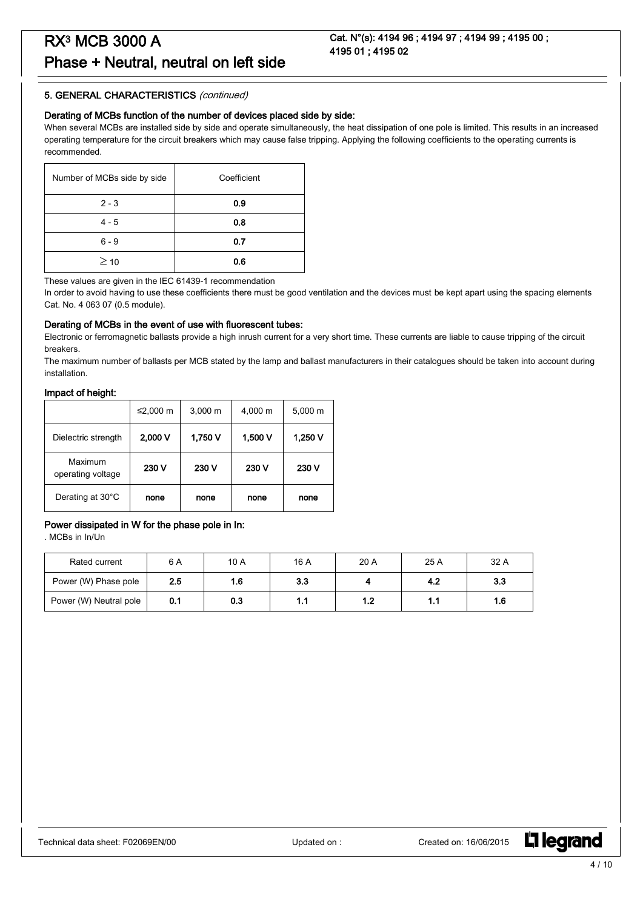#### 5. GENERAL CHARACTERISTICS (continued)

#### Derating of MCBs function of the number of devices placed side by side:

When several MCBs are installed side by side and operate simultaneously, the heat dissipation of one pole is limited. This results in an increased operating temperature for the circuit breakers which may cause false tripping. Applying the following coefficients to the operating currents is recommended.

| Number of MCBs side by side | Coefficient |
|-----------------------------|-------------|
| $2 - 3$                     | 0.9         |
| $4 - 5$                     | 0.8         |
| $6 - 9$                     | 0.7         |
| $\geq$ 10                   | 0.6         |

These values are given in the IEC 61439-1 recommendation

In order to avoid having to use these coefficients there must be good ventilation and the devices must be kept apart using the spacing elements Cat. No. 4 063 07 (0.5 module).

#### Derating of MCBs in the event of use with fluorescent tubes:

Electronic or ferromagnetic ballasts provide a high inrush current for a very short time. These currents are liable to cause tripping of the circuit breakers.

The maximum number of ballasts per MCB stated by the lamp and ballast manufacturers in their catalogues should be taken into account during installation.

#### Impact of height:

|                              | ≤2,000 m | $3,000 \; m$ | 4,000 m | 5,000 m |
|------------------------------|----------|--------------|---------|---------|
| Dielectric strength          | 2,000V   | 1,750 V      | 1,500 V | 1,250 V |
| Maximum<br>operating voltage | 230 V    | 230 V        | 230 V   | 230 V   |
| Derating at 30°C             | none     | none         | none    | none    |

#### Power dissipated in W for the phase pole in In:

. MCBs in In/Un

| Rated current          | 6 A | 10 A | 16 A | 20 A | 25 A | 32 A |
|------------------------|-----|------|------|------|------|------|
| Power (W) Phase pole   | 2.5 | 1.6  | 3.3  |      | 4.2  | 3.3  |
| Power (W) Neutral pole | 0.1 | 0.3  |      | 1.2  | 1.1  | 1.6  |

L<sub>i</sub>legrand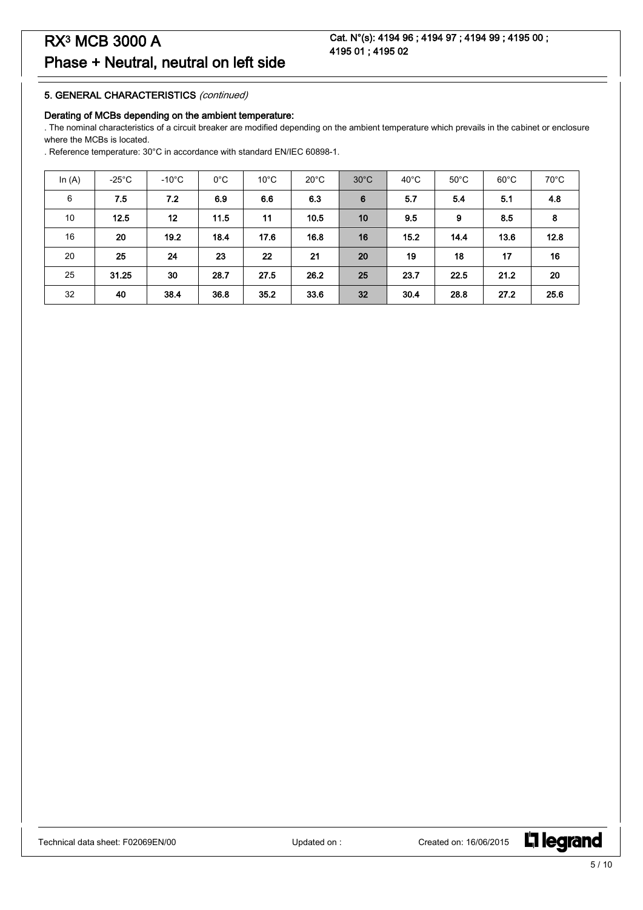#### 5. GENERAL CHARACTERISTICS (continued)

#### Derating of MCBs depending on the ambient temperature:

. The nominal characteristics of a circuit breaker are modified depending on the ambient temperature which prevails in the cabinet or enclosure where the MCBs is located.

. Reference temperature: 30°C in accordance with standard EN/IEC 60898-1.

| In $(A)$ | $-25^{\circ}$ C | $-10^{\circ}$ C | $0^{\circ}$ C | $10^{\circ}$ C | $20^{\circ}$ C | $30^{\circ}$ C | $40^{\circ}$ C | $50^{\circ}$ C | $60^{\circ}$ C | $70^{\circ}$ C |
|----------|-----------------|-----------------|---------------|----------------|----------------|----------------|----------------|----------------|----------------|----------------|
| 6        | 7.5             | 7.2             | 6.9           | 6.6            | 6.3            | 6              | 5.7            | 5.4            | 5.1            | 4.8            |
| 10       | 12.5            | 12              | 11.5          | 11             | 10.5           | 10             | 9.5            | 9              | 8.5            | 8              |
| 16       | 20              | 19.2            | 18.4          | 17.6           | 16.8           | 16             | 15.2           | 14.4           | 13.6           | 12.8           |
| 20       | 25              | 24              | 23            | 22             | 21             | 20             | 19             | 18             | 17             | 16             |
| 25       | 31.25           | 30              | 28.7          | 27.5           | 26.2           | 25             | 23.7           | 22.5           | 21.2           | 20             |
| 32       | 40              | 38.4            | 36.8          | 35.2           | 33.6           | 32             | 30.4           | 28.8           | 27.2           | 25.6           |

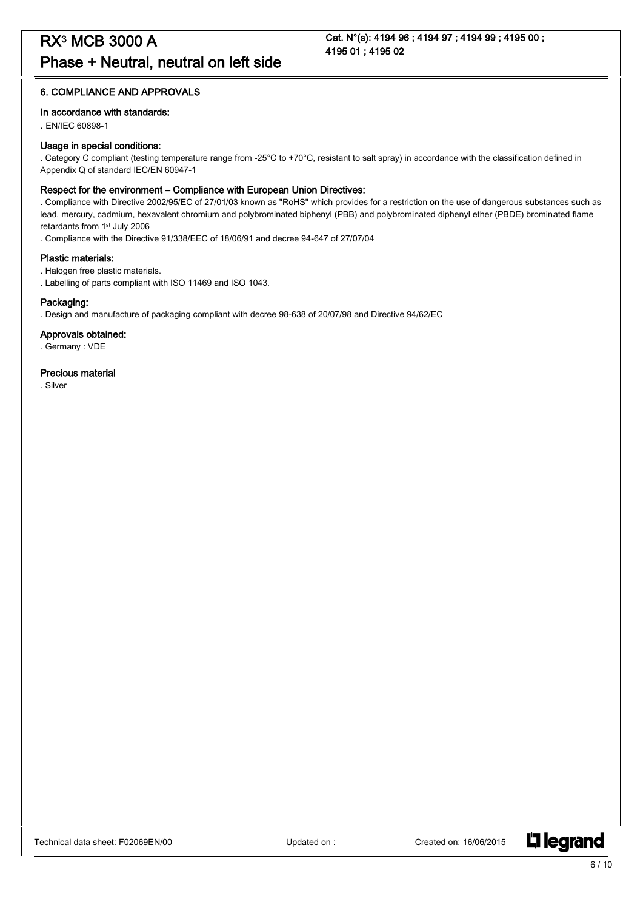#### 6. COMPLIANCE AND APPROVALS

#### In accordance with standards:

. EN/IEC 60898-1

#### Usage in special conditions:

. Category C compliant (testing temperature range from -25°C to +70°C, resistant to salt spray) in accordance with the classification defined in Appendix Q of standard IEC/EN 60947-1

#### Respect for the environment – Compliance with European Union Directives:

. Compliance with Directive 2002/95/EC of 27/01/03 known as "RoHS" which provides for a restriction on the use of dangerous substances such as lead, mercury, cadmium, hexavalent chromium and polybrominated biphenyl (PBB) and polybrominated diphenyl ether (PBDE) brominated flame retardants from 1st July 2006

. Compliance with the Directive 91/338/EEC of 18/06/91 and decree 94-647 of 27/07/04

#### Plastic materials:

. Halogen free plastic materials.

. Labelling of parts compliant with ISO 11469 and ISO 1043.

#### Packaging:

. Design and manufacture of packaging compliant with decree 98-638 of 20/07/98 and Directive 94/62/EC

#### Approvals obtained:

. Germany : VDE

#### Precious material

. Silver

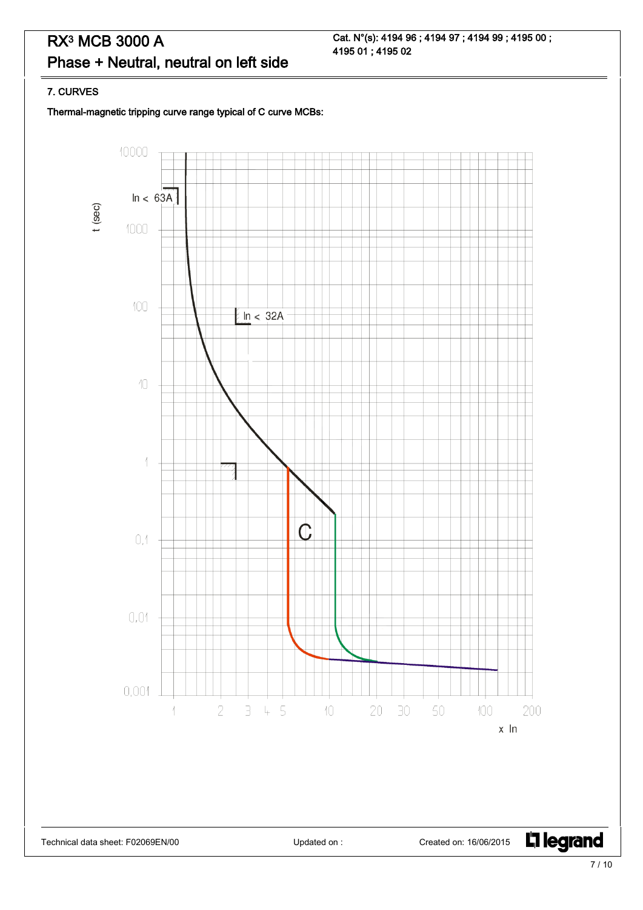Cat. N°(s): 4194 96 ; 4194 97 ; 4194 99 ; 4195 00 ; 4195 01 ; 4195 02

#### 7. CURVES

Thermal-magnetic tripping curve range typical of C curve MCBs:

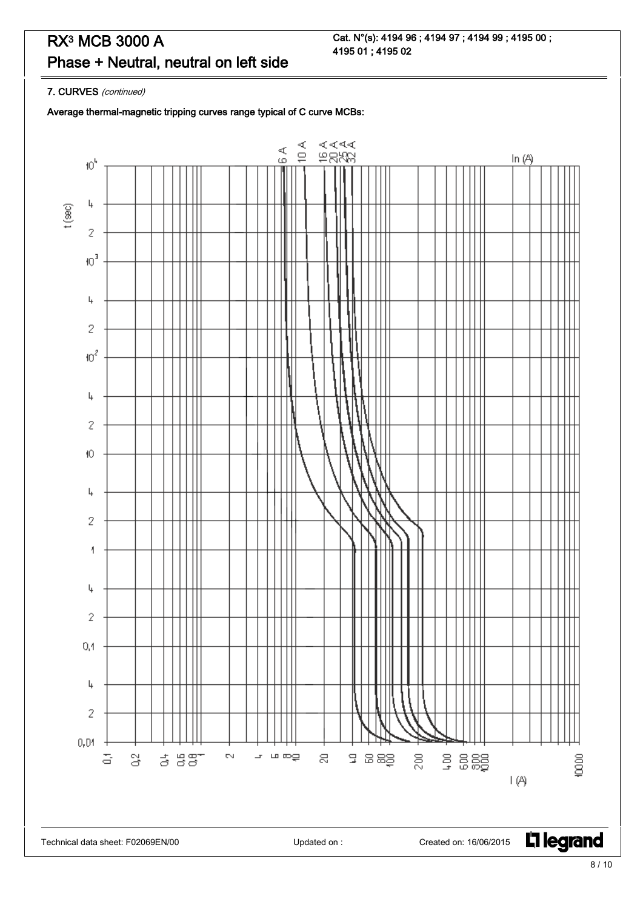Cat. N°(s): 4194 96 ; 4194 97 ; 4194 99 ; 4195 00 ; 4195 01 ; 4195 02

7. CURVES (continued)

Average thermal-magnetic tripping curves range typical of C curve MCBs:

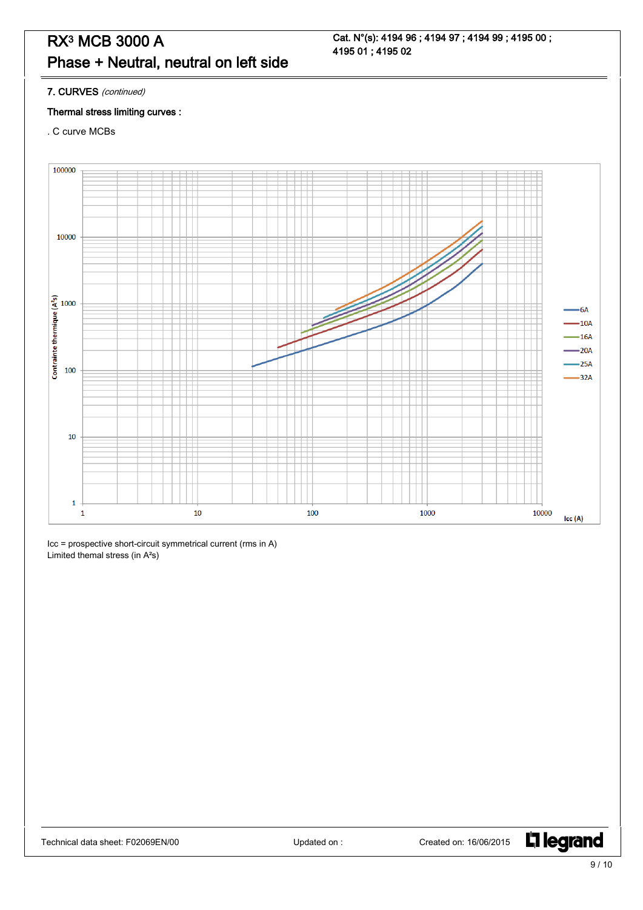Cat. N°(s): 4194 96 ; 4194 97 ; 4194 99 ; 4195 00 ; 4195 01 ; 4195 02

7. CURVES (continued)

#### Thermal stress limiting curves :

. C curve MCBs



Icc = prospective short-circuit symmetrical current (rms in A) Limited themal stress (in A²s)

L<sub>1</sub> legrand